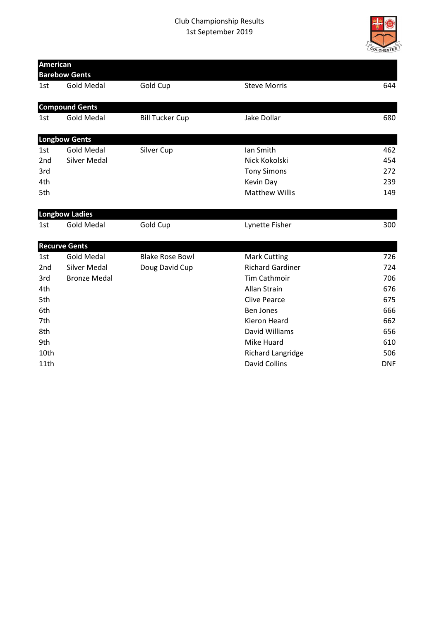

| <b>American</b> |                       |                        |                          |            |
|-----------------|-----------------------|------------------------|--------------------------|------------|
|                 | <b>Barebow Gents</b>  |                        |                          |            |
| 1st             | <b>Gold Medal</b>     | Gold Cup               | <b>Steve Morris</b>      | 644        |
|                 | <b>Compound Gents</b> |                        |                          |            |
| 1st             | <b>Gold Medal</b>     | <b>Bill Tucker Cup</b> | Jake Dollar              | 680        |
|                 | <b>Longbow Gents</b>  |                        |                          |            |
| 1st             | <b>Gold Medal</b>     | Silver Cup             | Ian Smith                | 462        |
| 2 <sub>nd</sub> | <b>Silver Medal</b>   |                        | Nick Kokolski            | 454        |
| 3rd             |                       |                        | <b>Tony Simons</b>       | 272        |
| 4th             |                       |                        | Kevin Day                | 239        |
| 5th             |                       |                        | <b>Matthew Willis</b>    | 149        |
|                 | <b>Longbow Ladies</b> |                        |                          |            |
| 1st             | <b>Gold Medal</b>     | Gold Cup               | Lynette Fisher           | 300        |
|                 | <b>Recurve Gents</b>  |                        |                          |            |
| 1st             | <b>Gold Medal</b>     | <b>Blake Rose Bowl</b> | <b>Mark Cutting</b>      | 726        |
| 2 <sub>nd</sub> | Silver Medal          | Doug David Cup         | <b>Richard Gardiner</b>  | 724        |
| 3rd             | <b>Bronze Medal</b>   |                        | <b>Tim Cathmoir</b>      | 706        |
| 4th             |                       |                        | Allan Strain             | 676        |
| 5th             |                       |                        | <b>Clive Pearce</b>      | 675        |
| 6th             |                       |                        | <b>Ben Jones</b>         | 666        |
| 7th             |                       |                        | <b>Kieron Heard</b>      | 662        |
| 8th             |                       |                        | David Williams           | 656        |
| 9th             |                       |                        | Mike Huard               | 610        |
| 10th            |                       |                        | <b>Richard Langridge</b> | 506        |
| 11th            |                       |                        | <b>David Collins</b>     | <b>DNF</b> |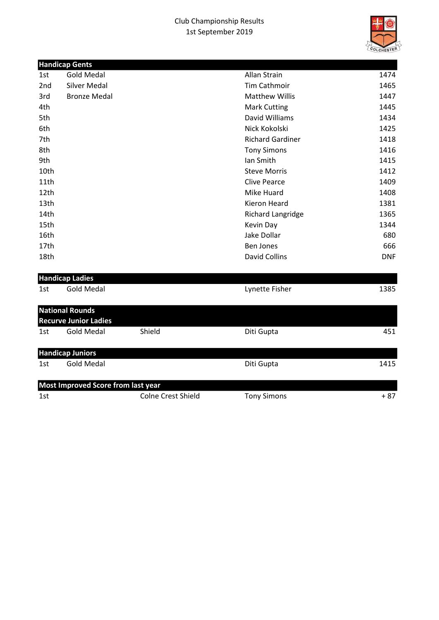## Club Championship Results 1st September 2019



|      | <b>Handicap Gents</b>                     |        |                          |            |
|------|-------------------------------------------|--------|--------------------------|------------|
| 1st  | <b>Gold Medal</b>                         |        | Allan Strain             | 1474       |
| 2nd  | Silver Medal                              |        | <b>Tim Cathmoir</b>      | 1465       |
| 3rd  | <b>Bronze Medal</b>                       |        | <b>Matthew Willis</b>    | 1447       |
| 4th  |                                           |        | <b>Mark Cutting</b>      | 1445       |
| 5th  |                                           |        | David Williams           | 1434       |
| 6th  |                                           |        | Nick Kokolski            | 1425       |
| 7th  |                                           |        | <b>Richard Gardiner</b>  | 1418       |
| 8th  |                                           |        | <b>Tony Simons</b>       | 1416       |
| 9th  |                                           |        | Ian Smith                | 1415       |
| 10th |                                           |        | <b>Steve Morris</b>      | 1412       |
| 11th |                                           |        | <b>Clive Pearce</b>      | 1409       |
| 12th |                                           |        | Mike Huard               | 1408       |
| 13th |                                           |        | <b>Kieron Heard</b>      | 1381       |
| 14th |                                           |        | <b>Richard Langridge</b> | 1365       |
| 15th |                                           |        | Kevin Day                | 1344       |
| 16th |                                           |        | Jake Dollar              | 680        |
| 17th |                                           |        | <b>Ben Jones</b>         | 666        |
| 18th |                                           |        | <b>David Collins</b>     | <b>DNF</b> |
|      | <b>Handicap Ladies</b>                    |        |                          |            |
| 1st  | <b>Gold Medal</b>                         |        | Lynette Fisher           | 1385       |
|      | <b>National Rounds</b>                    |        |                          |            |
|      | <b>Recurve Junior Ladies</b>              |        |                          |            |
| 1st  | <b>Gold Medal</b>                         | Shield | Diti Gupta               | 451        |
|      | <b>Handicap Juniors</b>                   |        |                          |            |
| 1st  | <b>Gold Medal</b>                         |        | Diti Gupta               | 1415       |
|      | <b>Most Improved Score from last year</b> |        |                          |            |

1st Colne Crest Shield Tony Simons + 87